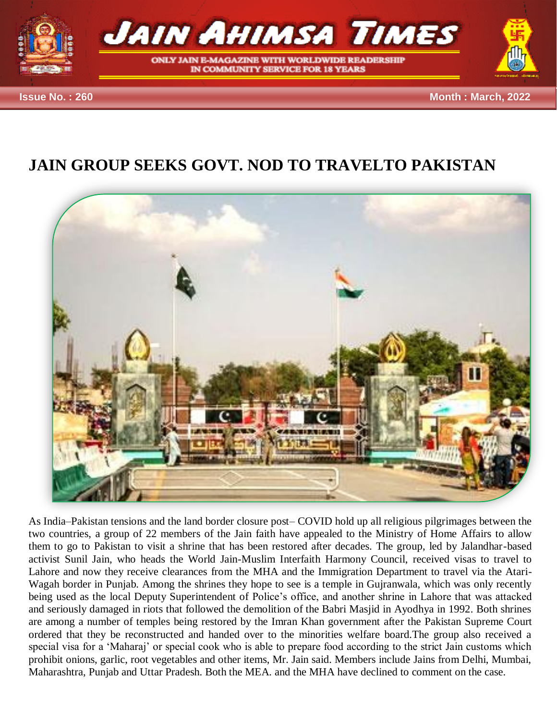

## **JAIN GROUP SEEKS GOVT. NOD TO TRAVELTO PAKISTAN**



As India–Pakistan tensions and the land border closure post– COVID hold up all religious pilgrimages between the two countries, a group of 22 members of the Jain faith have appealed to the Ministry of Home Affairs to allow them to go to Pakistan to visit a shrine that has been restored after decades. The group, led by Jalandhar-based activist Sunil Jain, who heads the World Jain-Muslim Interfaith Harmony Council, received visas to travel to Lahore and now they receive clearances from the MHA and the Immigration Department to travel via the Atari-Wagah border in Punjab. Among the shrines they hope to see is a temple in Gujranwala, which was only recently being used as the local Deputy Superintendent of Police's office, and another shrine in Lahore that was attacked and seriously damaged in riots that followed the demolition of the Babri Masjid in Ayodhya in 1992. Both shrines are among a number of temples being restored by the Imran Khan government after the Pakistan Supreme Court ordered that they be reconstructed and handed over to the minorities welfare board.The group also received a special visa for a 'Maharaj' or special cook who is able to prepare food according to the strict Jain customs which prohibit onions, garlic, root vegetables and other items, Mr. Jain said. Members include Jains from Delhi, Mumbai, Maharashtra, Punjab and Uttar Pradesh. Both the MEA. and the MHA have declined to comment on the case.